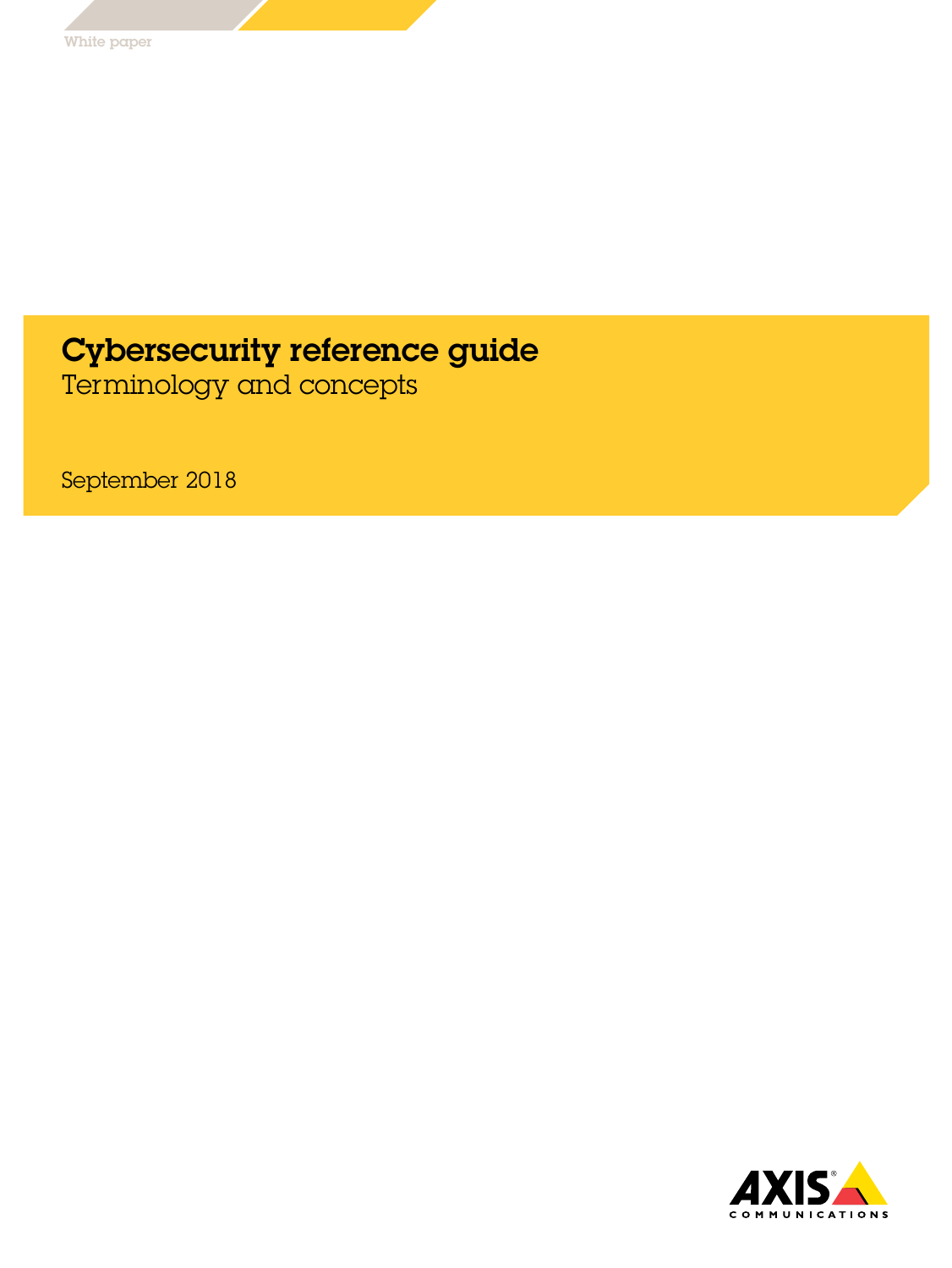# Cybersecurity reference guide

Terminology and concepts

September 2018

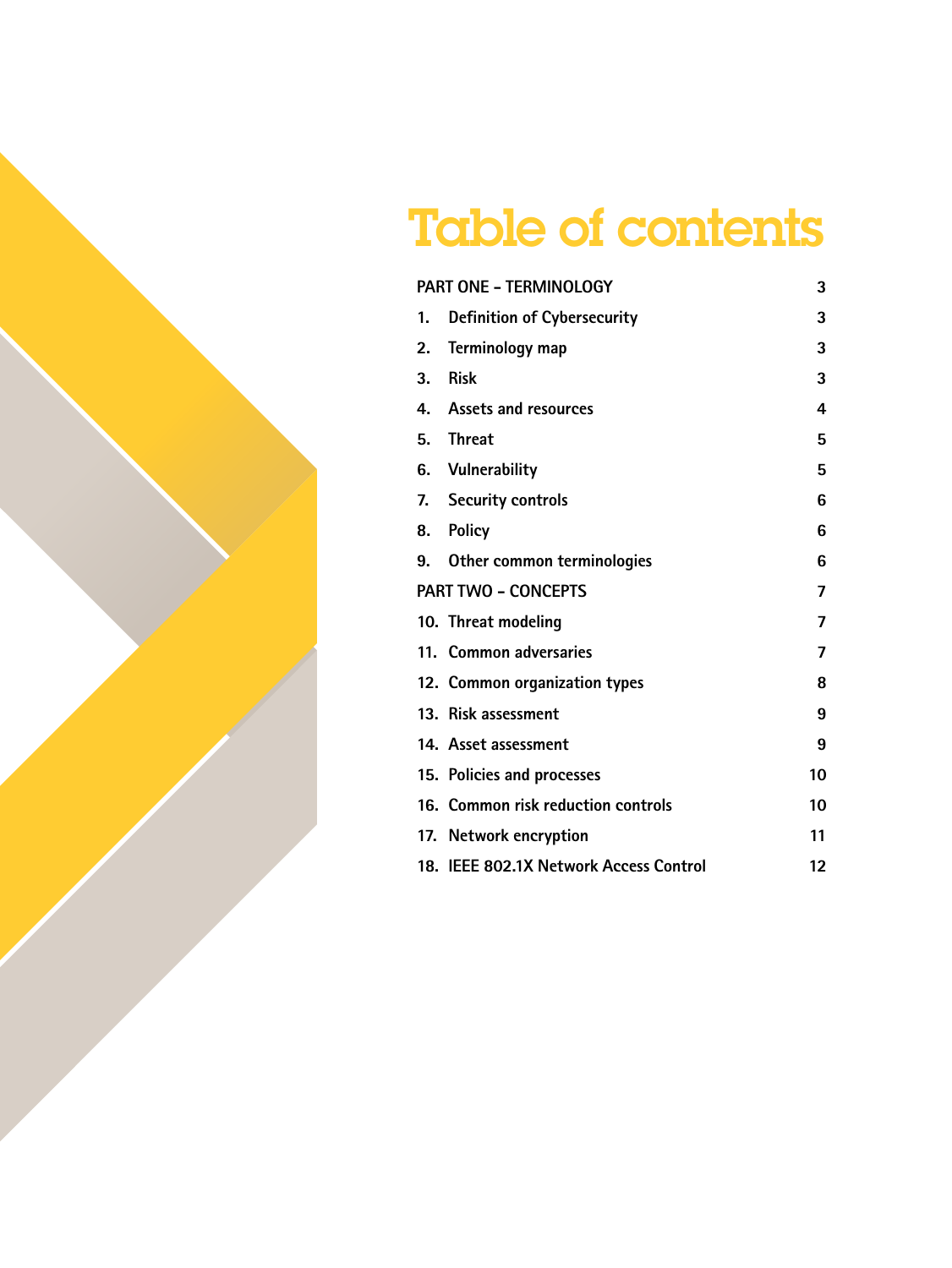# Table of contents

| <b>PART ONE - TERMINOLOGY</b> |                                        | 3  |
|-------------------------------|----------------------------------------|----|
| 1.                            | <b>Definition of Cybersecurity</b>     | 3  |
| 2.                            | Terminology map                        | 3  |
| 3.                            | <b>Risk</b>                            | 3  |
| 4.                            | <b>Assets and resources</b>            | 4  |
| 5.                            | <b>Threat</b>                          | 5  |
|                               | 6. Vulnerability                       | 5  |
| 7.                            | <b>Security controls</b>               | 6  |
| 8.                            | <b>Policy</b>                          | 6  |
| 9.                            | Other common terminologies             | 6  |
| <b>PART TWO - CONCEPTS</b>    |                                        | 7  |
|                               | 10. Threat modeling                    | 7  |
|                               | 11. Common adversaries                 | 7  |
|                               | 12. Common organization types          | 8  |
|                               | 13. Risk assessment                    | 9  |
|                               | 14. Asset assessment                   | 9  |
|                               | 15. Policies and processes             | 10 |
|                               | 16. Common risk reduction controls     | 10 |
|                               | 17. Network encryption                 | 11 |
|                               | 18. IEEE 802.1X Network Access Control | 12 |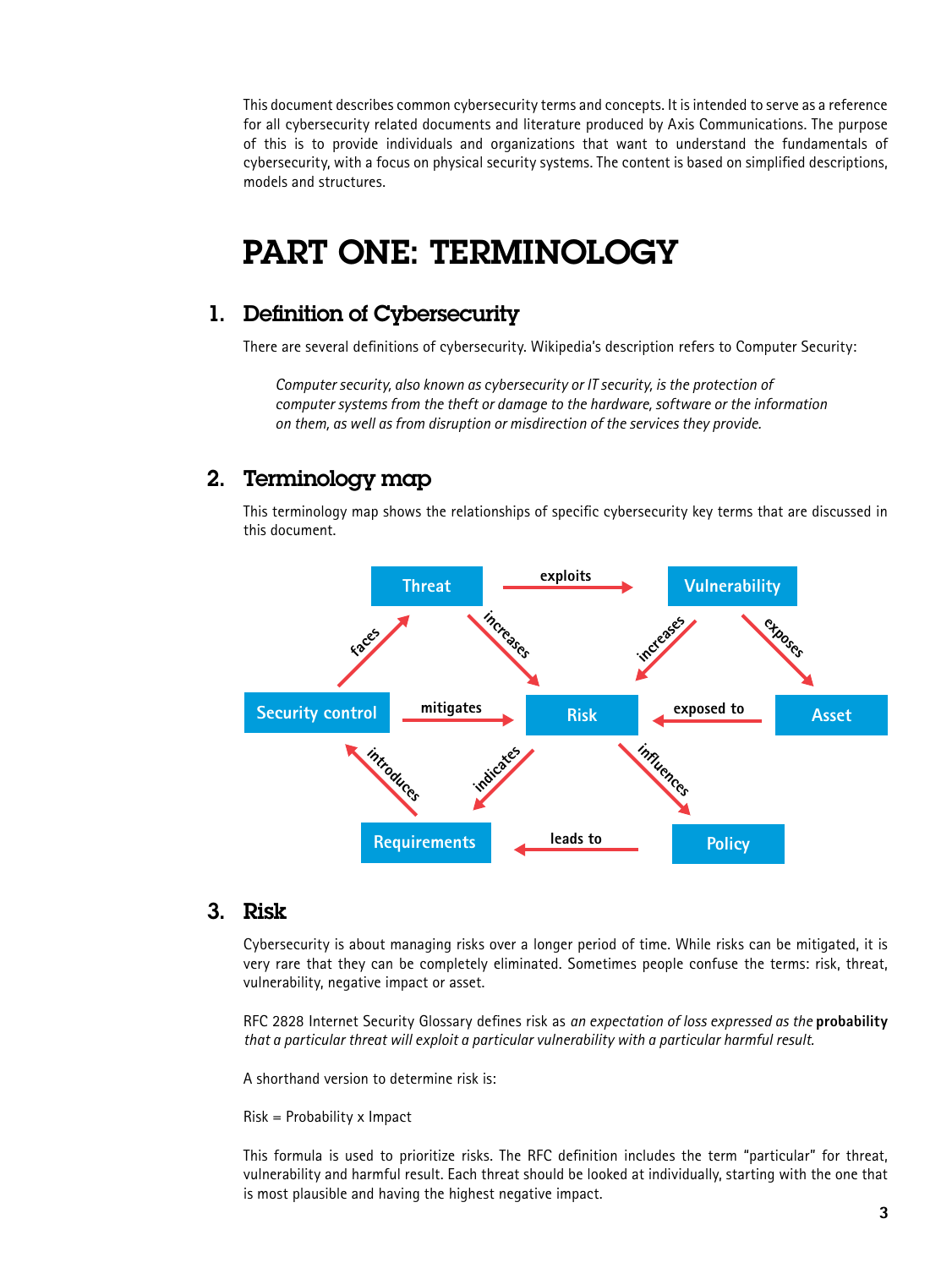This document describes common cybersecurity terms and concepts. It is intended to serve as a reference for all cybersecurity related documents and literature produced by Axis Communications. The purpose of this is to provide individuals and organizations that want to understand the fundamentals of cybersecurity, with a focus on physical security systems. The content is based on simplified descriptions, models and structures.

# PART ONE: TERMINOLOGY

# 1. Definition of Cybersecurity

There are several definitions of cybersecurity. Wikipedia's description refers to Computer Security:

*Computer security, also known as cybersecurity or IT security, is the protection of computer systems from the theft or damage to the hardware, software or the information on them, as well as from disruption or misdirection of the services they provide.*

# 2. Terminology map

This terminology map shows the relationships of specific cybersecurity key terms that are discussed in this document.



#### 3. Risk

Cybersecurity is about managing risks over a longer period of time. While risks can be mitigated, it is very rare that they can be completely eliminated. Sometimes people confuse the terms: risk, threat, vulnerability, negative impact or asset.

RFC 2828 Internet Security Glossary defines risk as *an expectation of loss expressed as the* **probability** *that a particular threat will exploit a particular vulnerability with a particular harmful result.* 

A shorthand version to determine risk is:

Risk = Probability x Impact

This formula is used to prioritize risks. The RFC definition includes the term "particular" for threat, vulnerability and harmful result. Each threat should be looked at individually, starting with the one that is most plausible and having the highest negative impact.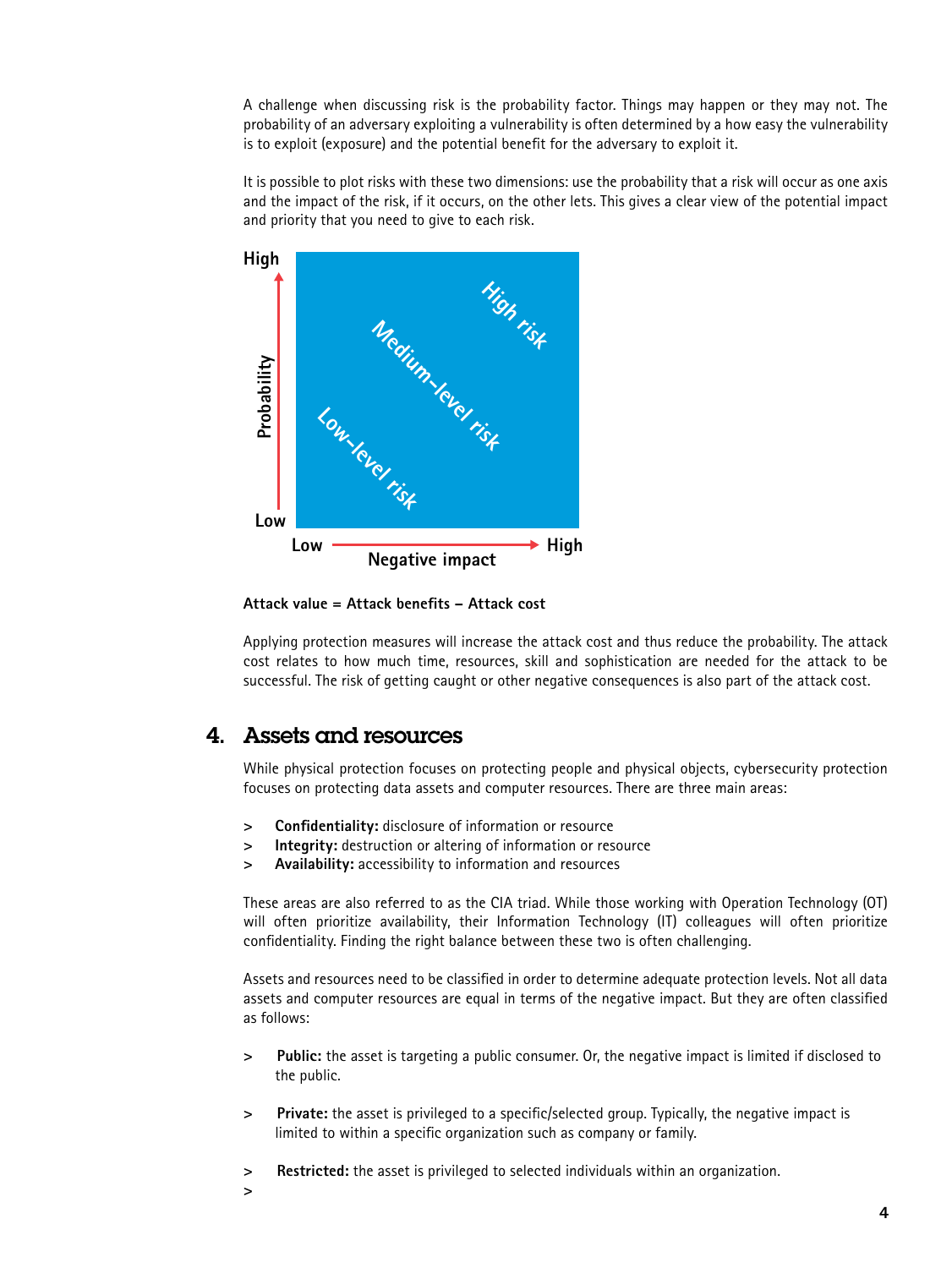A challenge when discussing risk is the probability factor. Things may happen or they may not. The probability of an adversary exploiting a vulnerability is often determined by a how easy the vulnerability is to exploit (exposure) and the potential benefit for the adversary to exploit it.

It is possible to plot risks with these two dimensions: use the probability that a risk will occur as one axis and the impact of the risk, if it occurs, on the other lets. This gives a clear view of the potential impact and priority that you need to give to each risk.



**Attack value = Attack benefits – Attack cost**

Applying protection measures will increase the attack cost and thus reduce the probability. The attack cost relates to how much time, resources, skill and sophistication are needed for the attack to be successful. The risk of getting caught or other negative consequences is also part of the attack cost.

# 4. Assets and resources

While physical protection focuses on protecting people and physical objects, cybersecurity protection focuses on protecting data assets and computer resources. There are three main areas:

- **> Confidentiality:** disclosure of information or resource
- **> Integrity:** destruction or altering of information or resource
- **> Availability:** accessibility to information and resources

These areas are also referred to as the CIA triad. While those working with Operation Technology (OT) will often prioritize availability, their Information Technology (IT) colleagues will often prioritize confidentiality. Finding the right balance between these two is often challenging.

Assets and resources need to be classified in order to determine adequate protection levels. Not all data assets and computer resources are equal in terms of the negative impact. But they are often classified as follows:

- **> Public:** the asset is targeting a public consumer. Or, the negative impact is limited if disclosed to the public.
- **> Private:** the asset is privileged to a specific/selected group. Typically, the negative impact is limited to within a specific organization such as company or family.
- **> Restricted:** the asset is privileged to selected individuals within an organization.
- **>**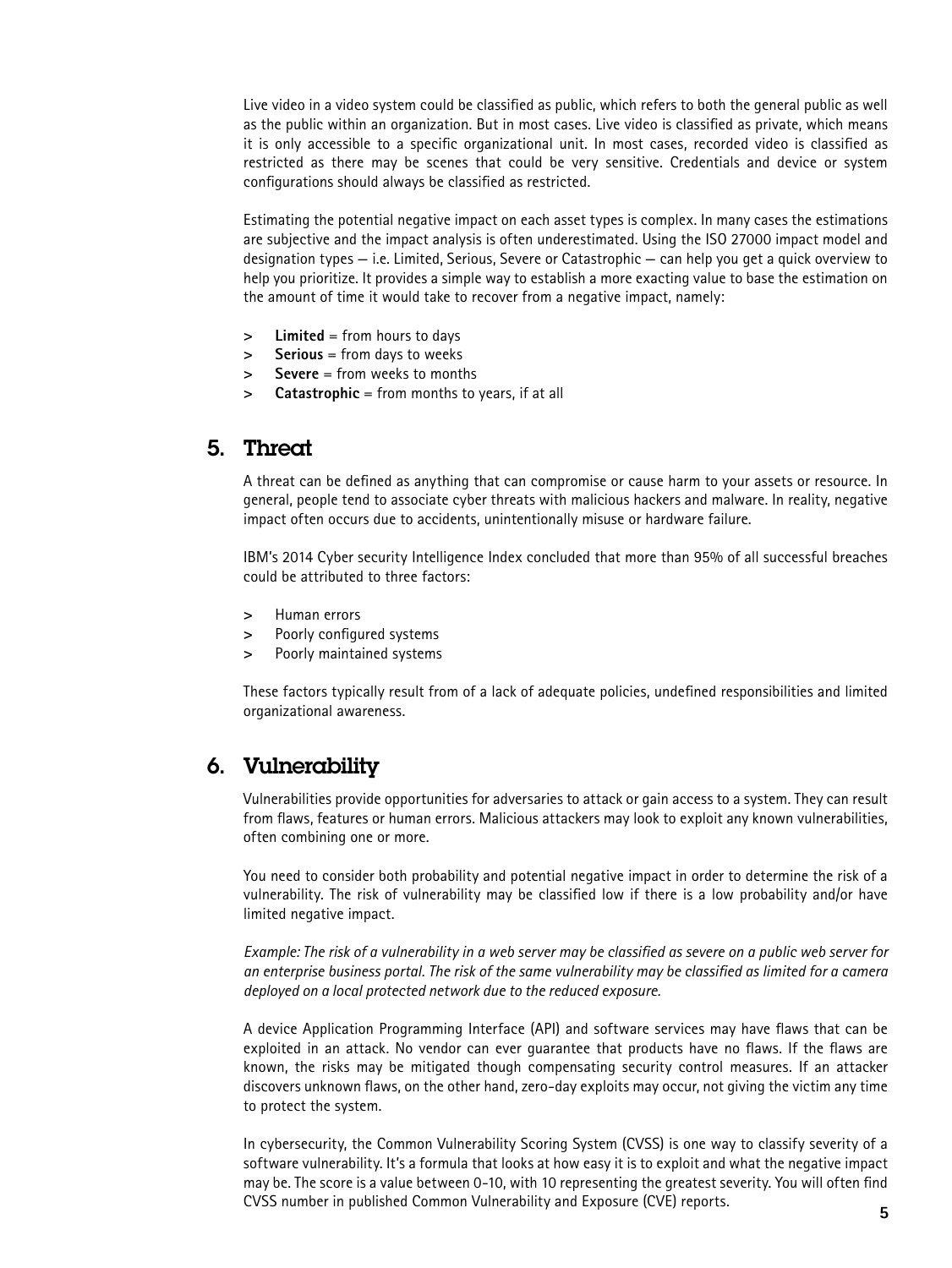Live video in a video system could be classified as public, which refers to both the general public as well as the public within an organization. But in most cases. Live video is classified as private, which means it is only accessible to a specific organizational unit. In most cases, recorded video is classified as restricted as there may be scenes that could be very sensitive. Credentials and device or system configurations should always be classified as restricted.

Estimating the potential negative impact on each asset types is complex. In many cases the estimations are subjective and the impact analysis is often underestimated. Using the ISO 27000 impact model and designation types — i.e. Limited, Serious, Severe or Catastrophic — can help you get a quick overview to help you prioritize. It provides a simple way to establish a more exacting value to base the estimation on the amount of time it would take to recover from a negative impact, namely:

- **> Limited** = from hours to days
- **> Serious** = from days to weeks
- **> Severe** = from weeks to months
- **> Catastrophic** = from months to years, if at all

# 5. Threat

A threat can be defined as anything that can compromise or cause harm to your assets or resource. In general, people tend to associate cyber threats with malicious hackers and malware. In reality, negative impact often occurs due to accidents, unintentionally misuse or hardware failure.

IBM's 2014 Cyber security Intelligence Index concluded that more than 95% of all successful breaches could be attributed to three factors:

- **>** Human errors
- **>** Poorly configured systems
- **>** Poorly maintained systems

These factors typically result from of a lack of adequate policies, undefined responsibilities and limited organizational awareness.

# 6. Vulnerability

Vulnerabilities provide opportunities for adversaries to attack or gain access to a system. They can result from flaws, features or human errors. Malicious attackers may look to exploit any known vulnerabilities, often combining one or more.

You need to consider both probability and potential negative impact in order to determine the risk of a vulnerability. The risk of vulnerability may be classified low if there is a low probability and/or have limited negative impact.

*Example: The risk of a vulnerability in a web server may be classified as severe on a public web server for an enterprise business portal. The risk of the same vulnerability may be classified as limited for a camera deployed on a local protected network due to the reduced exposure.*

A device Application Programming Interface (API) and software services may have flaws that can be exploited in an attack. No vendor can ever guarantee that products have no flaws. If the flaws are known, the risks may be mitigated though compensating security control measures. If an attacker discovers unknown flaws, on the other hand, zero-day exploits may occur, not giving the victim any time to protect the system.

In cybersecurity, the Common Vulnerability Scoring System (CVSS) is one way to classify severity of a software vulnerability. It's a formula that looks at how easy it is to exploit and what the negative impact may be. The score is a value between 0-10, with 10 representing the greatest severity. You will often find CVSS number in published Common Vulnerability and Exposure (CVE) reports.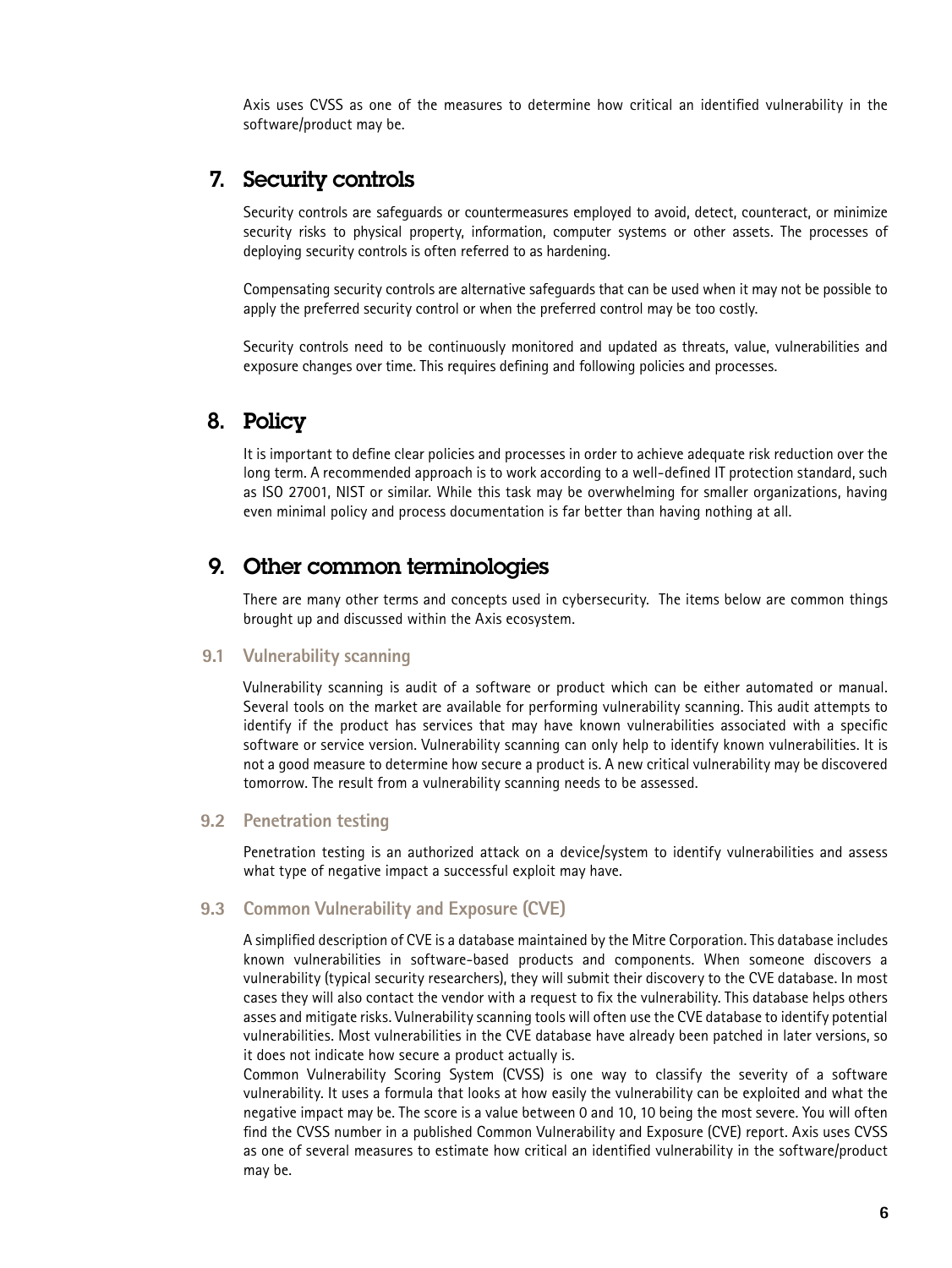Axis uses CVSS as one of the measures to determine how critical an identified vulnerability in the software/product may be.

## 7. Security controls

Security controls are safeguards or countermeasures employed to avoid, detect, counteract, or minimize security risks to physical property, information, computer systems or other assets. The processes of deploying security controls is often referred to as hardening.

Compensating security controls are alternative safeguards that can be used when it may not be possible to apply the preferred security control or when the preferred control may be too costly.

Security controls need to be continuously monitored and updated as threats, value, vulnerabilities and exposure changes over time. This requires defining and following policies and processes.

# 8. Policy

It is important to define clear policies and processes in order to achieve adequate risk reduction over the long term. A recommended approach is to work according to a well-defined IT protection standard, such as ISO 27001, NIST or similar. While this task may be overwhelming for smaller organizations, having even minimal policy and process documentation is far better than having nothing at all.

## 9. Other common terminologies

There are many other terms and concepts used in cybersecurity. The items below are common things brought up and discussed within the Axis ecosystem.

#### **9.1 Vulnerability scanning**

Vulnerability scanning is audit of a software or product which can be either automated or manual. Several tools on the market are available for performing vulnerability scanning. This audit attempts to identify if the product has services that may have known vulnerabilities associated with a specific software or service version. Vulnerability scanning can only help to identify known vulnerabilities. It is not a good measure to determine how secure a product is. A new critical vulnerability may be discovered tomorrow. The result from a vulnerability scanning needs to be assessed.

#### **9.2 Penetration testing**

Penetration testing is an authorized attack on a device/system to identify vulnerabilities and assess what type of negative impact a successful exploit may have.

#### **9.3 Common Vulnerability and Exposure (CVE)**

A simplified description of CVE is a database maintained by the Mitre Corporation. This database includes known vulnerabilities in software-based products and components. When someone discovers a vulnerability (typical security researchers), they will submit their discovery to the CVE database. In most cases they will also contact the vendor with a request to fix the vulnerability. This database helps others asses and mitigate risks. Vulnerability scanning tools will often use the CVE database to identify potential vulnerabilities. Most vulnerabilities in the CVE database have already been patched in later versions, so it does not indicate how secure a product actually is.

Common Vulnerability Scoring System (CVSS) is one way to classify the severity of a software vulnerability. It uses a formula that looks at how easily the vulnerability can be exploited and what the negative impact may be. The score is a value between 0 and 10, 10 being the most severe. You will often find the CVSS number in a published Common Vulnerability and Exposure (CVE) report. Axis uses CVSS as one of several measures to estimate how critical an identified vulnerability in the software/product may be.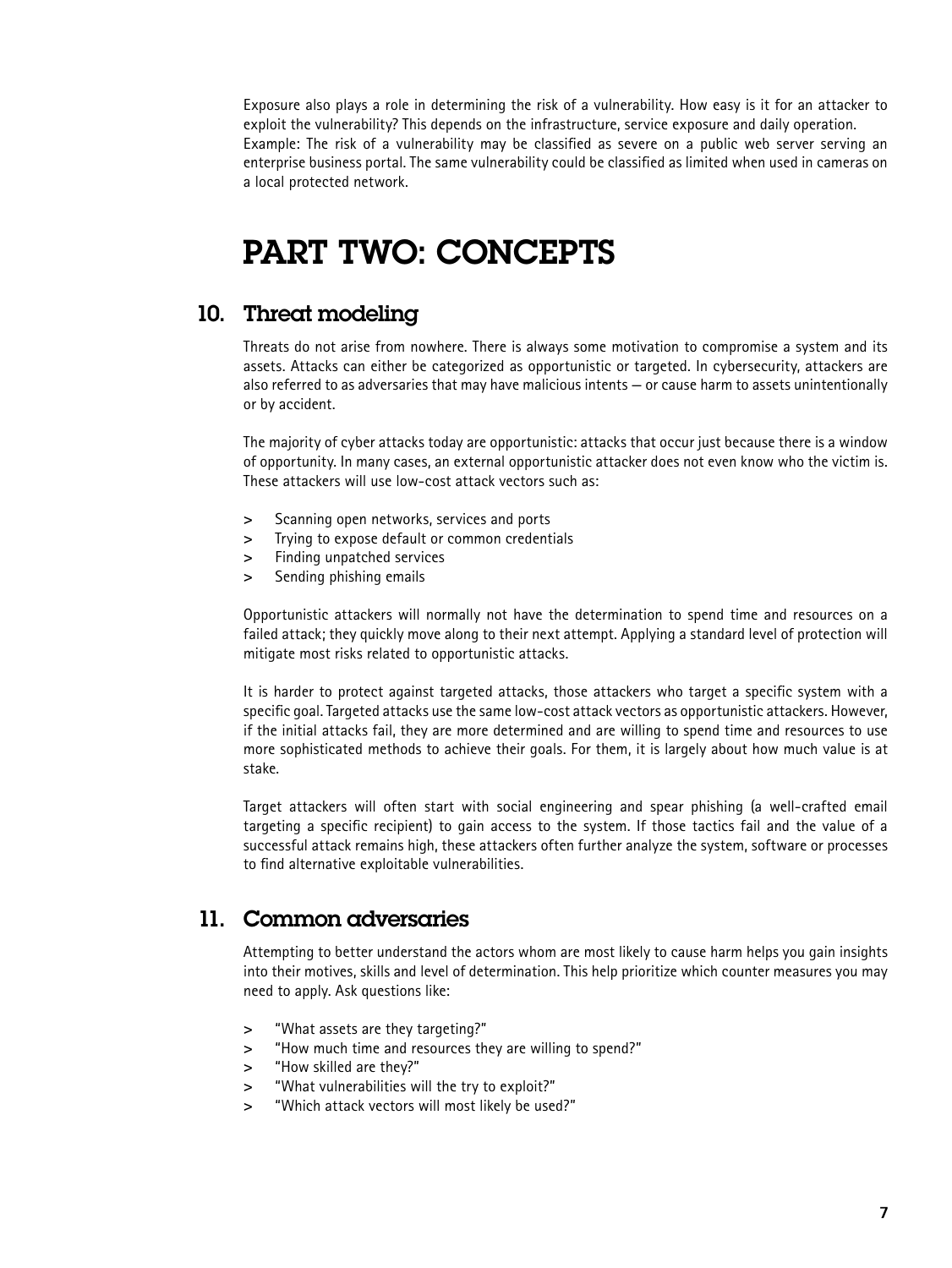Exposure also plays a role in determining the risk of a vulnerability. How easy is it for an attacker to exploit the vulnerability? This depends on the infrastructure, service exposure and daily operation. Example: The risk of a vulnerability may be classified as severe on a public web server serving an enterprise business portal. The same vulnerability could be classified as limited when used in cameras on a local protected network.

# PART TWO: CONCEPTS

# 10. Threat modeling

Threats do not arise from nowhere. There is always some motivation to compromise a system and its assets. Attacks can either be categorized as opportunistic or targeted. In cybersecurity, attackers are also referred to as adversaries that may have malicious intents — or cause harm to assets unintentionally or by accident.

The majority of cyber attacks today are opportunistic: attacks that occur just because there is a window of opportunity. In many cases, an external opportunistic attacker does not even know who the victim is. These attackers will use low-cost attack vectors such as:

- **>** Scanning open networks, services and ports
- **>** Trying to expose default or common credentials
- **>** Finding unpatched services
- **>** Sending phishing emails

Opportunistic attackers will normally not have the determination to spend time and resources on a failed attack; they quickly move along to their next attempt. Applying a standard level of protection will mitigate most risks related to opportunistic attacks.

It is harder to protect against targeted attacks, those attackers who target a specific system with a specific goal. Targeted attacks use the same low-cost attack vectors as opportunistic attackers. However, if the initial attacks fail, they are more determined and are willing to spend time and resources to use more sophisticated methods to achieve their goals. For them, it is largely about how much value is at stake.

Target attackers will often start with social engineering and spear phishing (a well-crafted email targeting a specific recipient) to gain access to the system. If those tactics fail and the value of a successful attack remains high, these attackers often further analyze the system, software or processes to find alternative exploitable vulnerabilities.

# 11. Common adversaries

Attempting to better understand the actors whom are most likely to cause harm helps you gain insights into their motives, skills and level of determination. This help prioritize which counter measures you may need to apply. Ask questions like:

- **>** "What assets are they targeting?"
- **>** "How much time and resources they are willing to spend?"
- **>** "How skilled are they?"
- **>** "What vulnerabilities will the try to exploit?"
- **>** "Which attack vectors will most likely be used?"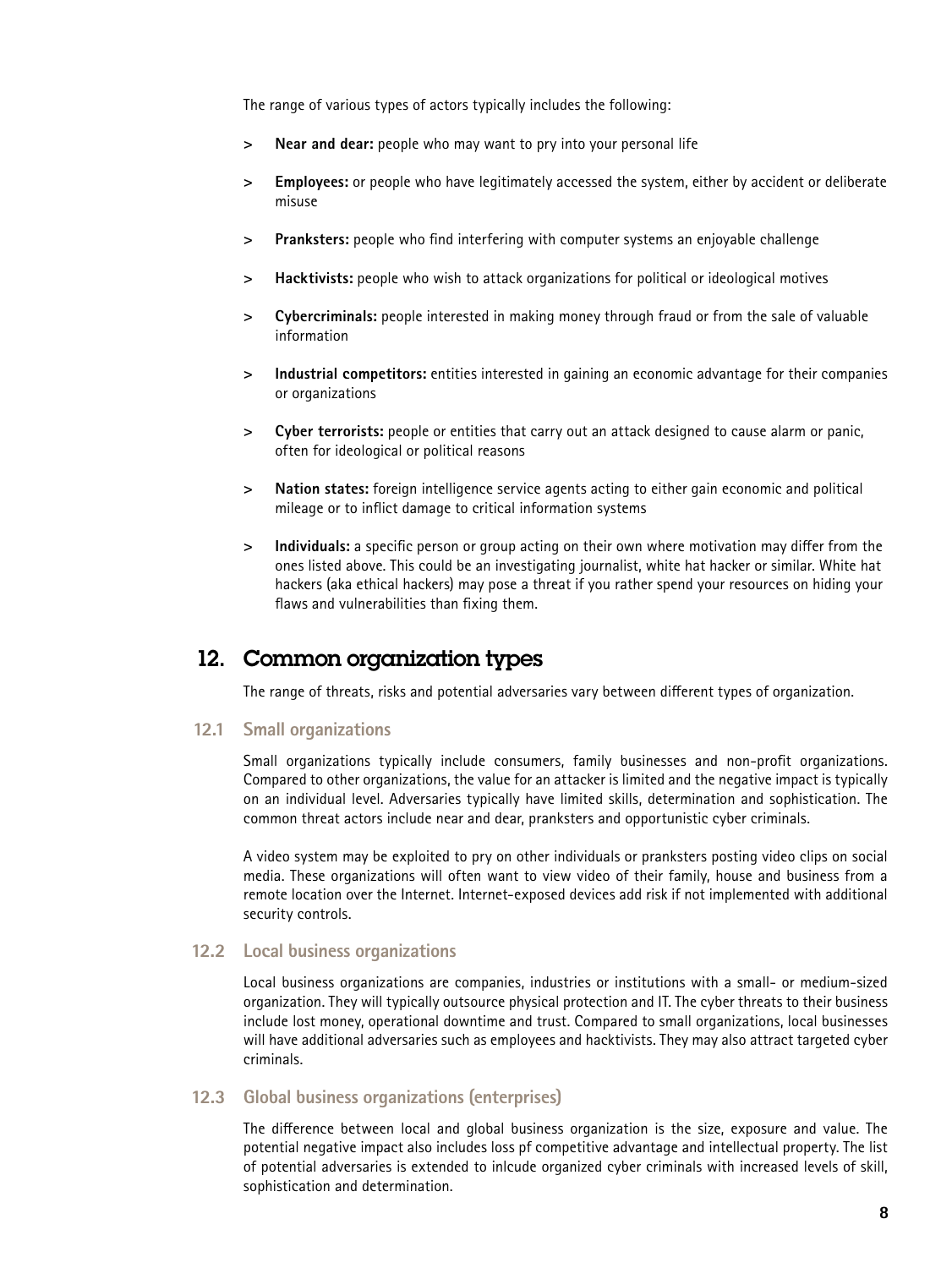The range of various types of actors typically includes the following:

- **> Near and dear:** people who may want to pry into your personal life
- **> Employees:** or people who have legitimately accessed the system, either by accident or deliberate misuse
- **> Pranksters:** people who find interfering with computer systems an enjoyable challenge
- **> Hacktivists:** people who wish to attack organizations for political or ideological motives
- **> Cybercriminals:** people interested in making money through fraud or from the sale of valuable information
- **> Industrial competitors:** entities interested in gaining an economic advantage for their companies or organizations
- **> Cyber terrorists:** people or entities that carry out an attack designed to cause alarm or panic, often for ideological or political reasons
- **> Nation states:** foreign intelligence service agents acting to either gain economic and political mileage or to inflict damage to critical information systems
- **> Individuals:** a specific person or group acting on their own where motivation may differ from the ones listed above. This could be an investigating journalist, white hat hacker or similar. White hat hackers (aka ethical hackers) may pose a threat if you rather spend your resources on hiding your flaws and vulnerabilities than fixing them.

## 12. Common organization types

The range of threats, risks and potential adversaries vary between different types of organization.

#### **12.1 Small organizations**

Small organizations typically include consumers, family businesses and non-profit organizations. Compared to other organizations, the value for an attacker is limited and the negative impact is typically on an individual level. Adversaries typically have limited skills, determination and sophistication. The common threat actors include near and dear, pranksters and opportunistic cyber criminals.

A video system may be exploited to pry on other individuals or pranksters posting video clips on social media. These organizations will often want to view video of their family, house and business from a remote location over the Internet. Internet-exposed devices add risk if not implemented with additional security controls.

#### **12.2 Local business organizations**

Local business organizations are companies, industries or institutions with a small- or medium-sized organization. They will typically outsource physical protection and IT. The cyber threats to their business include lost money, operational downtime and trust. Compared to small organizations, local businesses will have additional adversaries such as employees and hacktivists. They may also attract targeted cyber criminals.

#### **12.3 Global business organizations (enterprises)**

The difference between local and global business organization is the size, exposure and value. The potential negative impact also includes loss pf competitive advantage and intellectual property. The list of potential adversaries is extended to inlcude organized cyber criminals with increased levels of skill, sophistication and determination.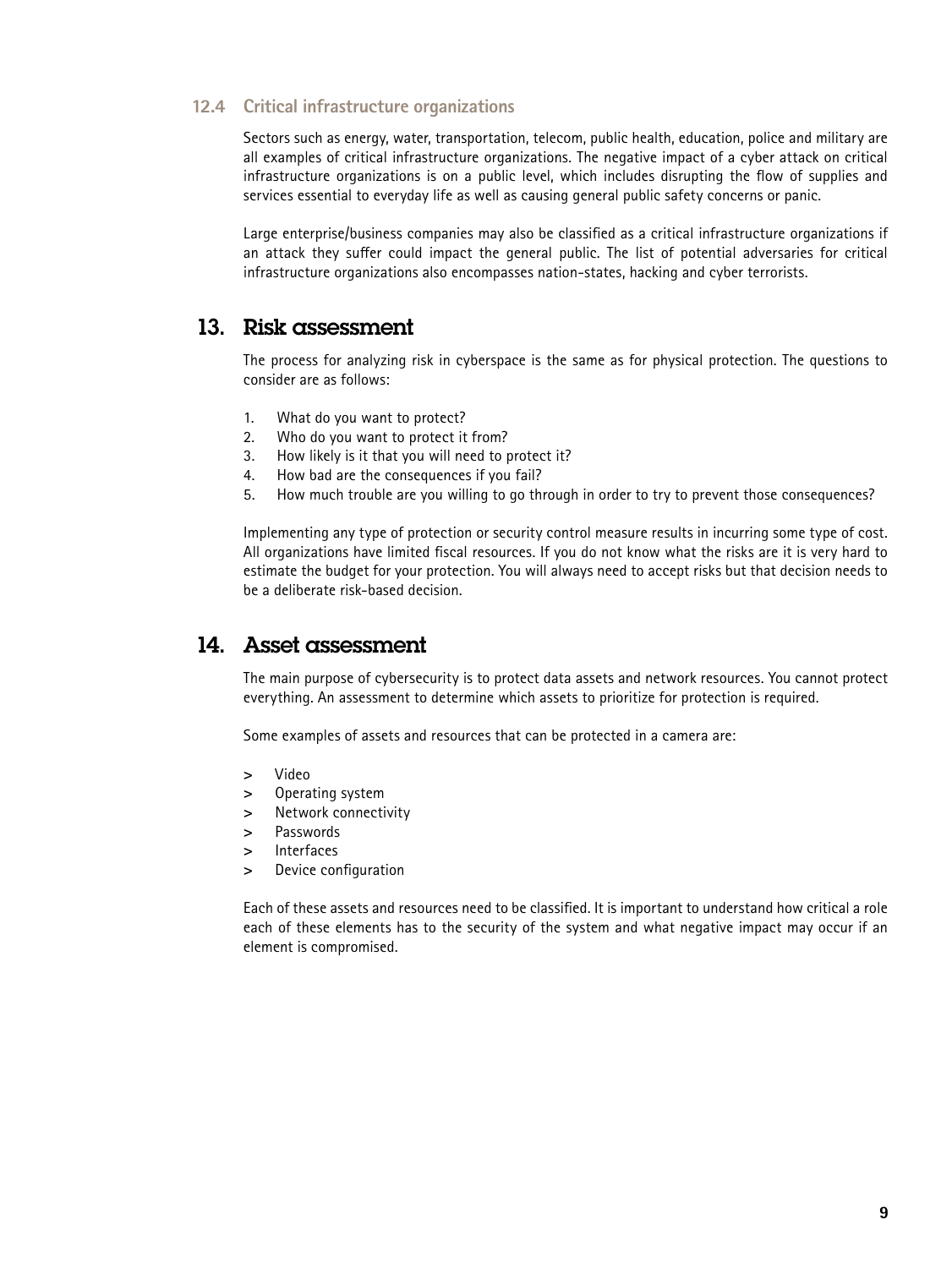#### **12.4 Critical infrastructure organizations**

Sectors such as energy, water, transportation, telecom, public health, education, police and military are all examples of critical infrastructure organizations. The negative impact of a cyber attack on critical infrastructure organizations is on a public level, which includes disrupting the flow of supplies and services essential to everyday life as well as causing general public safety concerns or panic.

Large enterprise/business companies may also be classified as a critical infrastructure organizations if an attack they suffer could impact the general public. The list of potential adversaries for critical infrastructure organizations also encompasses nation-states, hacking and cyber terrorists.

# 13. Risk assessment

The process for analyzing risk in cyberspace is the same as for physical protection. The questions to consider are as follows:

- 1. What do you want to protect?
- 2. Who do you want to protect it from?
- 3. How likely is it that you will need to protect it?
- 4. How bad are the consequences if you fail?
- 5. How much trouble are you willing to go through in order to try to prevent those consequences?

Implementing any type of protection or security control measure results in incurring some type of cost. All organizations have limited fiscal resources. If you do not know what the risks are it is very hard to estimate the budget for your protection. You will always need to accept risks but that decision needs to be a deliberate risk-based decision.

## 14. Asset assessment

The main purpose of cybersecurity is to protect data assets and network resources. You cannot protect everything. An assessment to determine which assets to prioritize for protection is required.

Some examples of assets and resources that can be protected in a camera are:

- **>** Video
- **>** Operating system
- **>** Network connectivity
- **>** Passwords
- **>** Interfaces
- **>** Device configuration

Each of these assets and resources need to be classified. It is important to understand how critical a role each of these elements has to the security of the system and what negative impact may occur if an element is compromised.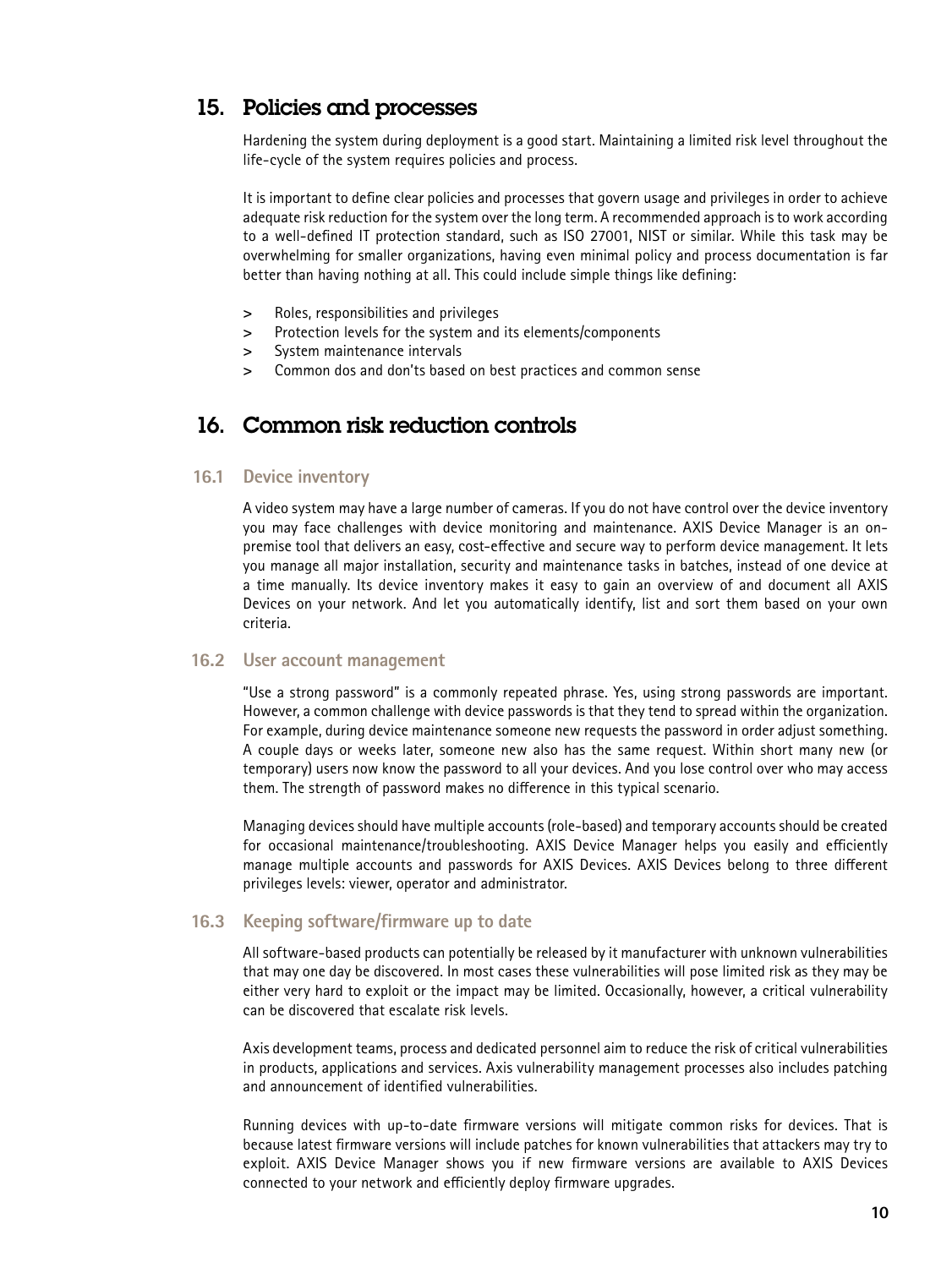# 15. Policies and processes

Hardening the system during deployment is a good start. Maintaining a limited risk level throughout the life-cycle of the system requires policies and process.

It is important to define clear policies and processes that govern usage and privileges in order to achieve adequate risk reduction for the system over the long term. A recommended approach is to work according to a well-defined IT protection standard, such as ISO 27001, NIST or similar. While this task may be overwhelming for smaller organizations, having even minimal policy and process documentation is far better than having nothing at all. This could include simple things like defining:

- **>** Roles, responsibilities and privileges
- **>** Protection levels for the system and its elements/components
- **>** System maintenance intervals
- **>** Common dos and don'ts based on best practices and common sense

# 16. Common risk reduction controls

#### **16.1 Device inventory**

A video system may have a large number of cameras. If you do not have control over the device inventory you may face challenges with device monitoring and maintenance. AXIS Device Manager is an onpremise tool that delivers an easy, cost-effective and secure way to perform device management. It lets you manage all major installation, security and maintenance tasks in batches, instead of one device at a time manually. Its device inventory makes it easy to gain an overview of and document all AXIS Devices on your network. And let you automatically identify, list and sort them based on your own criteria.

#### **16.2 User account management**

"Use a strong password" is a commonly repeated phrase. Yes, using strong passwords are important. However, a common challenge with device passwords is that they tend to spread within the organization. For example, during device maintenance someone new requests the password in order adjust something. A couple days or weeks later, someone new also has the same request. Within short many new (or temporary) users now know the password to all your devices. And you lose control over who may access them. The strength of password makes no difference in this typical scenario.

Managing devices should have multiple accounts (role-based) and temporary accounts should be created for occasional maintenance/troubleshooting. AXIS Device Manager helps you easily and efficiently manage multiple accounts and passwords for AXIS Devices. AXIS Devices belong to three different privileges levels: viewer, operator and administrator.

#### **16.3 Keeping software/firmware up to date**

All software-based products can potentially be released by it manufacturer with unknown vulnerabilities that may one day be discovered. In most cases these vulnerabilities will pose limited risk as they may be either very hard to exploit or the impact may be limited. Occasionally, however, a critical vulnerability can be discovered that escalate risk levels.

Axis development teams, process and dedicated personnel aim to reduce the risk of critical vulnerabilities in products, applications and services. Axis vulnerability management processes also includes patching and announcement of identified vulnerabilities.

Running devices with up-to-date firmware versions will mitigate common risks for devices. That is because latest firmware versions will include patches for known vulnerabilities that attackers may try to exploit. AXIS Device Manager shows you if new firmware versions are available to AXIS Devices connected to your network and efficiently deploy firmware upgrades.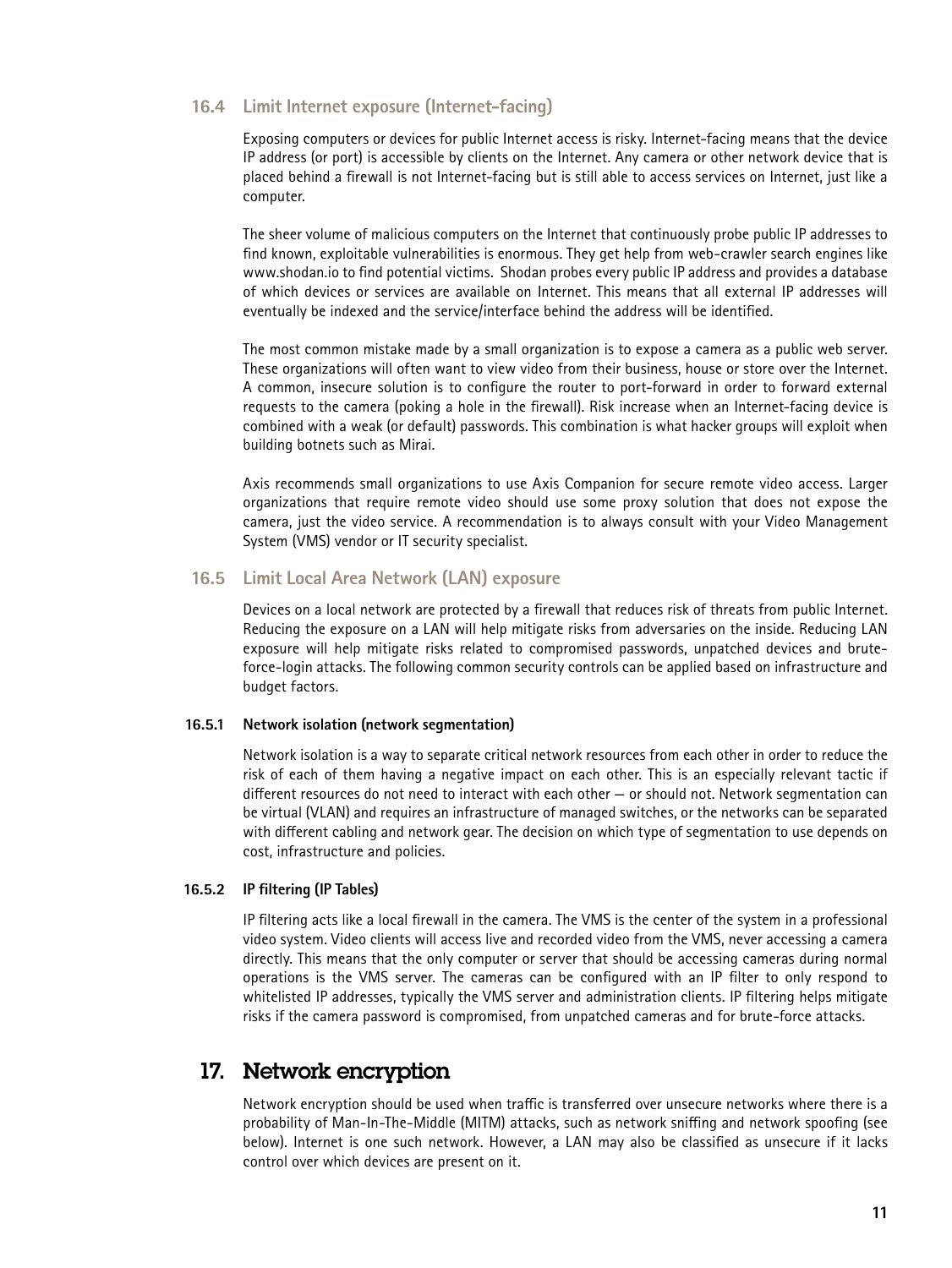#### **16.4 Limit Internet exposure (Internet-facing)**

Exposing computers or devices for public Internet access is risky. Internet-facing means that the device IP address (or port) is accessible by clients on the Internet. Any camera or other network device that is placed behind a firewall is not Internet-facing but is still able to access services on Internet, just like a computer.

The sheer volume of malicious computers on the Internet that continuously probe public IP addresses to find known, exploitable vulnerabilities is enormous. They get help from web-crawler search engines like www.shodan.io to find potential victims. Shodan probes every public IP address and provides a database of which devices or services are available on Internet. This means that all external IP addresses will eventually be indexed and the service/interface behind the address will be identified.

The most common mistake made by a small organization is to expose a camera as a public web server. These organizations will often want to view video from their business, house or store over the Internet. A common, insecure solution is to configure the router to port-forward in order to forward external requests to the camera (poking a hole in the firewall). Risk increase when an Internet-facing device is combined with a weak (or default) passwords. This combination is what hacker groups will exploit when building botnets such as Mirai.

Axis recommends small organizations to use Axis Companion for secure remote video access. Larger organizations that require remote video should use some proxy solution that does not expose the camera, just the video service. A recommendation is to always consult with your Video Management System (VMS) vendor or IT security specialist.

#### **16.5 Limit Local Area Network (LAN) exposure**

Devices on a local network are protected by a firewall that reduces risk of threats from public Internet. Reducing the exposure on a LAN will help mitigate risks from adversaries on the inside. Reducing LAN exposure will help mitigate risks related to compromised passwords, unpatched devices and bruteforce-login attacks. The following common security controls can be applied based on infrastructure and budget factors.

#### **16.5.1 Network isolation (network segmentation)**

Network isolation is a way to separate critical network resources from each other in order to reduce the risk of each of them having a negative impact on each other. This is an especially relevant tactic if different resources do not need to interact with each other — or should not. Network segmentation can be virtual (VLAN) and requires an infrastructure of managed switches, or the networks can be separated with different cabling and network gear. The decision on which type of segmentation to use depends on cost, infrastructure and policies.

#### **16.5.2 IP filtering (IP Tables)**

IP filtering acts like a local firewall in the camera. The VMS is the center of the system in a professional video system. Video clients will access live and recorded video from the VMS, never accessing a camera directly. This means that the only computer or server that should be accessing cameras during normal operations is the VMS server. The cameras can be configured with an IP filter to only respond to whitelisted IP addresses, typically the VMS server and administration clients. IP filtering helps mitigate risks if the camera password is compromised, from unpatched cameras and for brute-force attacks.

## 17. Network encryption

Network encryption should be used when traffic is transferred over unsecure networks where there is a probability of Man-In-The-Middle (MITM) attacks, such as network sniffing and network spoofing (see below). Internet is one such network. However, a LAN may also be classified as unsecure if it lacks control over which devices are present on it.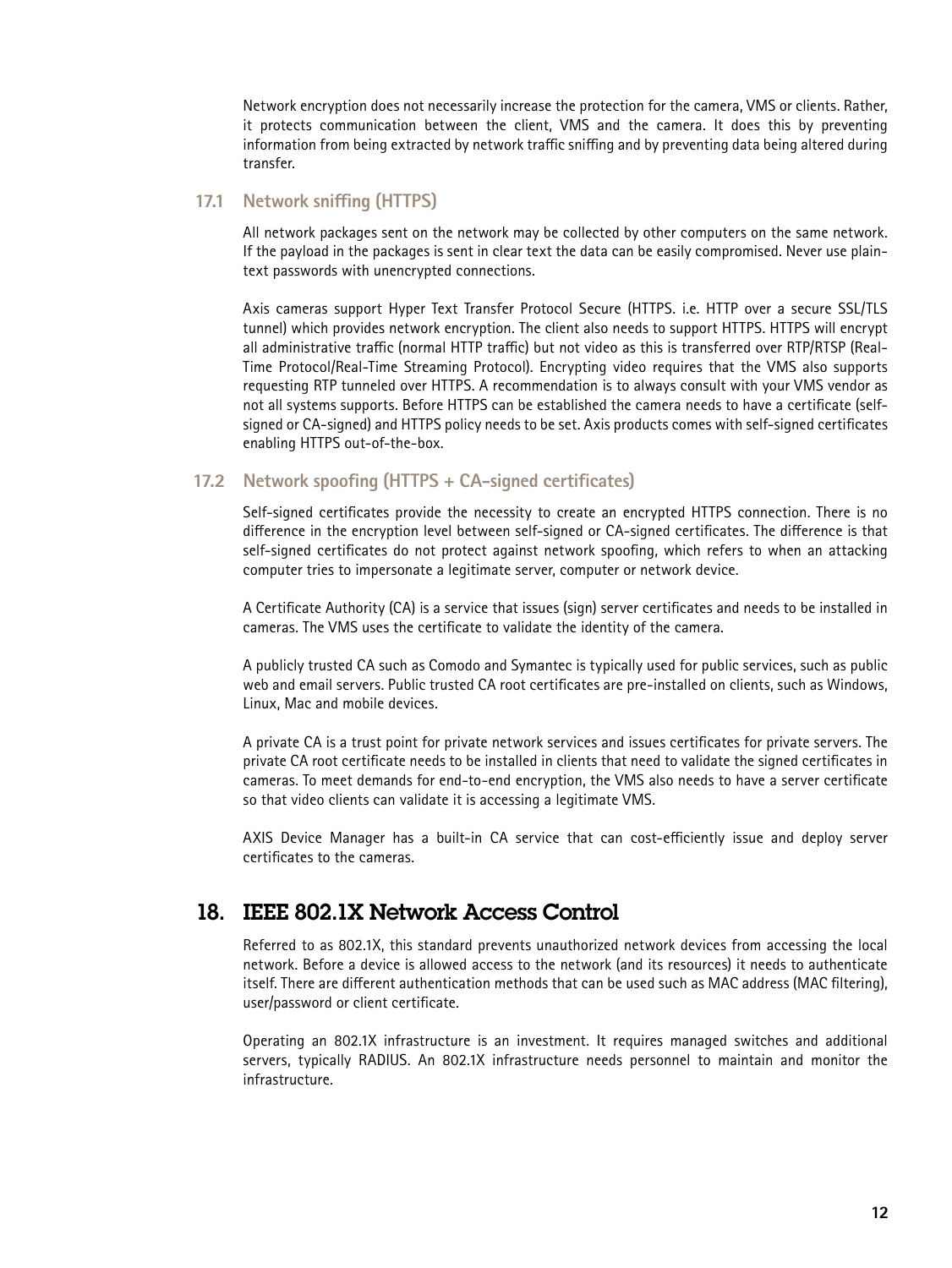Network encryption does not necessarily increase the protection for the camera, VMS or clients. Rather, it protects communication between the client, VMS and the camera. It does this by preventing information from being extracted by network traffic sniffing and by preventing data being altered during transfer.

#### **17.1 Network sniffing (HTTPS)**

All network packages sent on the network may be collected by other computers on the same network. If the payload in the packages is sent in clear text the data can be easily compromised. Never use plaintext passwords with unencrypted connections.

Axis cameras support Hyper Text Transfer Protocol Secure (HTTPS. i.e. HTTP over a secure SSL/TLS tunnel) which provides network encryption. The client also needs to support HTTPS. HTTPS will encrypt all administrative traffic (normal HTTP traffic) but not video as this is transferred over RTP/RTSP (Real-Time Protocol/Real-Time Streaming Protocol). Encrypting video requires that the VMS also supports requesting RTP tunneled over HTTPS. A recommendation is to always consult with your VMS vendor as not all systems supports. Before HTTPS can be established the camera needs to have a certificate (selfsigned or CA-signed) and HTTPS policy needs to be set. Axis products comes with self-signed certificates enabling HTTPS out-of-the-box.

#### **17.2 Network spoofing (HTTPS + CA-signed certificates)**

Self-signed certificates provide the necessity to create an encrypted HTTPS connection. There is no difference in the encryption level between self-signed or CA-signed certificates. The difference is that self-signed certificates do not protect against network spoofing, which refers to when an attacking computer tries to impersonate a legitimate server, computer or network device.

A Certificate Authority (CA) is a service that issues (sign) server certificates and needs to be installed in cameras. The VMS uses the certificate to validate the identity of the camera.

A publicly trusted CA such as Comodo and Symantec is typically used for public services, such as public web and email servers. Public trusted CA root certificates are pre-installed on clients, such as Windows, Linux, Mac and mobile devices.

A private CA is a trust point for private network services and issues certificates for private servers. The private CA root certificate needs to be installed in clients that need to validate the signed certificates in cameras. To meet demands for end-to-end encryption, the VMS also needs to have a server certificate so that video clients can validate it is accessing a legitimate VMS.

AXIS Device Manager has a built-in CA service that can cost-efficiently issue and deploy server certificates to the cameras.

# 18. IEEE 802.1X Network Access Control

Referred to as 802.1X, this standard prevents unauthorized network devices from accessing the local network. Before a device is allowed access to the network (and its resources) it needs to authenticate itself. There are different authentication methods that can be used such as MAC address (MAC filtering), user/password or client certificate.

Operating an 802.1X infrastructure is an investment. It requires managed switches and additional servers, typically RADIUS. An 802.1X infrastructure needs personnel to maintain and monitor the infrastructure.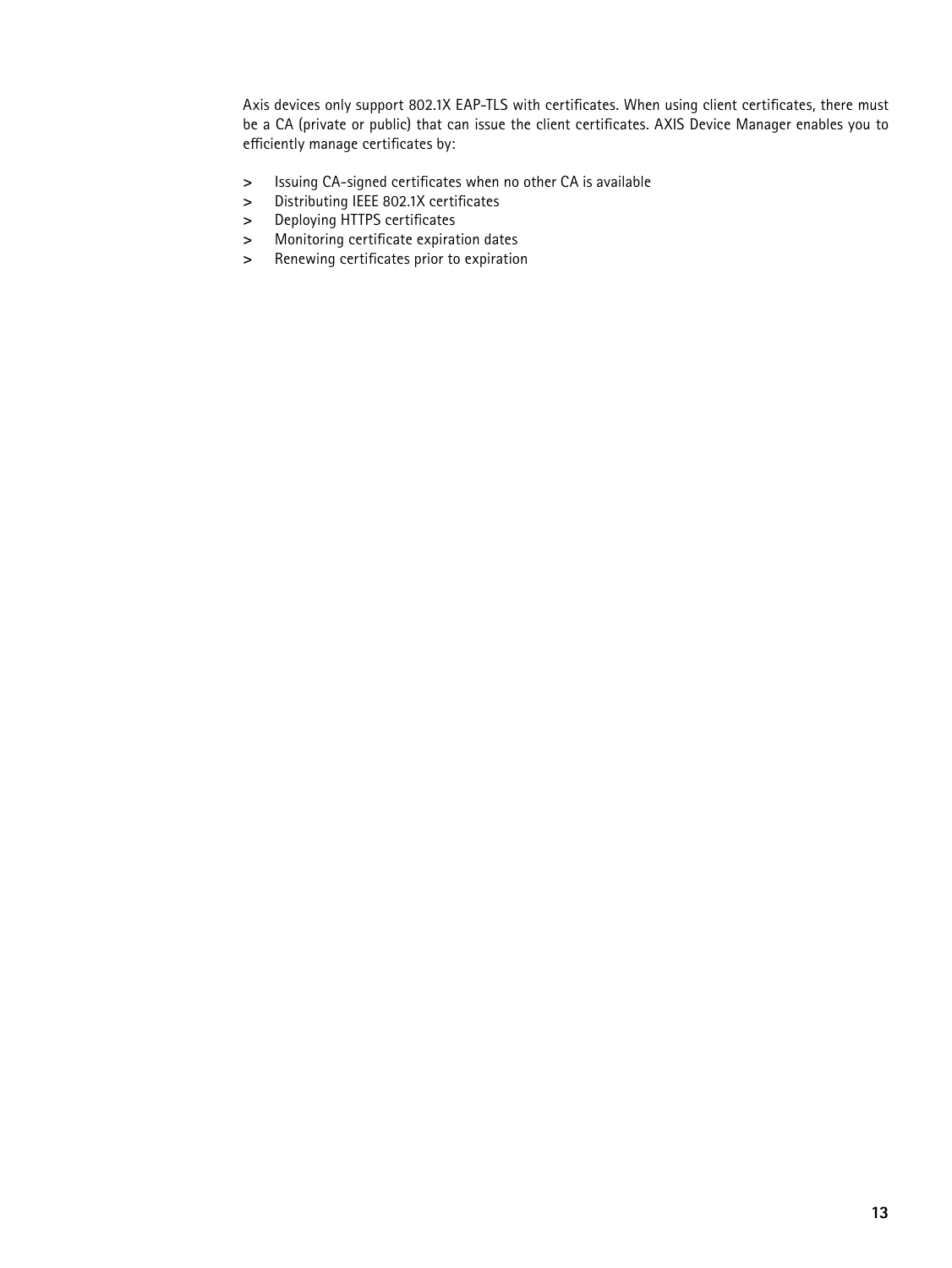Axis devices only support 802.1X EAP-TLS with certificates. When using client certificates, there must be a CA (private or public) that can issue the client certificates. AXIS Device Manager enables you to efficiently manage certificates by:

- **>** Issuing CA-signed certificates when no other CA is available
- **>** Distributing IEEE 802.1X certificates
- **>** Deploying HTTPS certificates
- **>** Monitoring certificate expiration dates
- **>** Renewing certificates prior to expiration